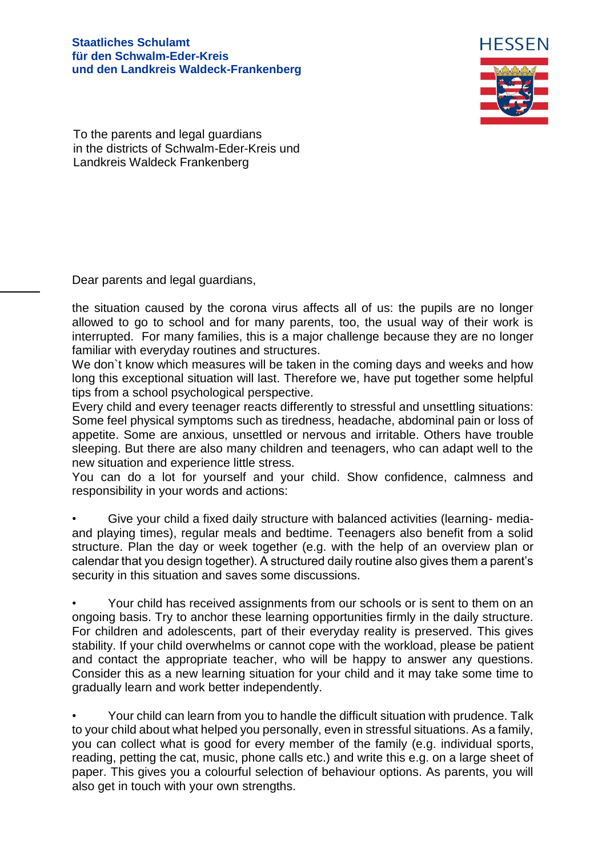## **Staatliches Schulamt für den Schwalm-Eder-Kreis und den Landkreis Waldeck-Frankenberg**



To the parents and legal guardians in the districts of Schwalm-Eder-Kreis und Landkreis Waldeck Frankenberg

Dear parents and legal guardians,

the situation caused by the corona virus affects all of us: the pupils are no longer allowed to go to school and for many parents, too, the usual way of their work is interrupted. For many families, this is a major challenge because they are no longer familiar with everyday routines and structures.

We don`t know which measures will be taken in the coming days and weeks and how long this exceptional situation will last. Therefore we, have put together some helpful tips from a school psychological perspective.

Every child and every teenager reacts differently to stressful and unsettling situations: Some feel physical symptoms such as tiredness, headache, abdominal pain or loss of appetite. Some are anxious, unsettled or nervous and irritable. Others have trouble sleeping. But there are also many children and teenagers, who can adapt well to the new situation and experience little stress.

You can do a lot for yourself and your child. Show confidence, calmness and responsibility in your words and actions:

• Give your child a fixed daily structure with balanced activities (learning- mediaand playing times), regular meals and bedtime. Teenagers also benefit from a solid structure. Plan the day or week together (e.g. with the help of an overview plan or calendar that you design together). A structured daily routine also gives them a parent's security in this situation and saves some discussions.

• Your child has received assignments from our schools or is sent to them on an ongoing basis. Try to anchor these learning opportunities firmly in the daily structure. For children and adolescents, part of their everyday reality is preserved. This gives stability. If your child overwhelms or cannot cope with the workload, please be patient and contact the appropriate teacher, who will be happy to answer any questions. Consider this as a new learning situation for your child and it may take some time to gradually learn and work better independently.

• Your child can learn from you to handle the difficult situation with prudence. Talk to your child about what helped you personally, even in stressful situations. As a family, you can collect what is good for every member of the family (e.g. individual sports, reading, petting the cat, music, phone calls etc.) and write this e.g. on a large sheet of paper. This gives you a colourful selection of behaviour options. As parents, you will also get in touch with your own strengths.